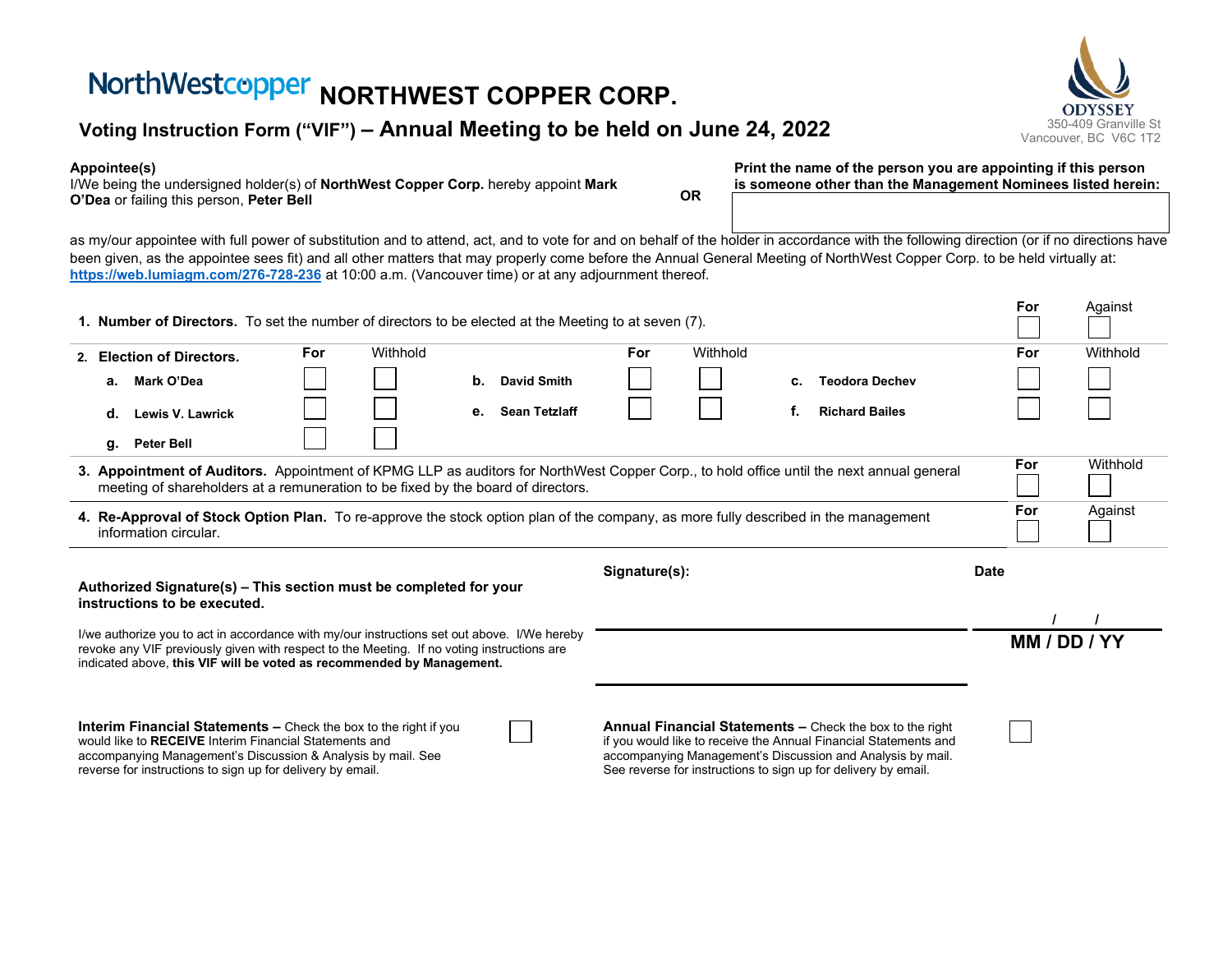# **NorthWestcopper NORTHWEST COPPER CORP.**<br>Voting Instruction Form ("VIF") – Annual Meeting to be held on June 24, 2022

#### **Appointee(s)**

I/We being the undersigned holder(s) of **NorthWest Copper Corp.** hereby appoint **Mark O'Dea** or failing this person, **Peter Bell OR**

**Print the name of the person you are appointing if this person is someone other than the Management Nominees listed herein:**

as my/our appointee with full power of substitution and to attend, act, and to vote for and on behalf of the holder in accordance with the following direction (or if no directions have been given, as the appointee sees fit) and all other matters that may properly come before the Annual General Meeting of NorthWest Copper Corp. to be held virtually at: **[https://web.lumiagm.com/276-728-236](https://web.lumiagm.com/XXXXXXXXX)** at 10:00 a.m. (Vancouver time) or at any adjournment thereof.

| 1. Number of Directors. To set the number of directors to be elected at the Meeting to at seven (7).                                                                                                                                                                                                                                                                                                                                                                                                                                   |                               |     |          |                            |  |     |          |    |                       | For  | Against      |
|----------------------------------------------------------------------------------------------------------------------------------------------------------------------------------------------------------------------------------------------------------------------------------------------------------------------------------------------------------------------------------------------------------------------------------------------------------------------------------------------------------------------------------------|-------------------------------|-----|----------|----------------------------|--|-----|----------|----|-----------------------|------|--------------|
|                                                                                                                                                                                                                                                                                                                                                                                                                                                                                                                                        | 2. Election of Directors.     | For | Withhold |                            |  | For | Withhold |    |                       | For  | Withhold     |
|                                                                                                                                                                                                                                                                                                                                                                                                                                                                                                                                        | Mark O'Dea<br>а.              |     |          | b.<br><b>David Smith</b>   |  |     |          | c. | <b>Teodora Dechev</b> |      |              |
|                                                                                                                                                                                                                                                                                                                                                                                                                                                                                                                                        | d.<br><b>Lewis V. Lawrick</b> |     |          | <b>Sean Tetzlaff</b><br>е. |  |     |          |    | <b>Richard Bailes</b> |      |              |
|                                                                                                                                                                                                                                                                                                                                                                                                                                                                                                                                        | Peter Bell<br>g.              |     |          |                            |  |     |          |    |                       |      |              |
| 3. Appointment of Auditors. Appointment of KPMG LLP as auditors for NorthWest Copper Corp., to hold office until the next annual general<br>meeting of shareholders at a remuneration to be fixed by the board of directors.                                                                                                                                                                                                                                                                                                           |                               |     |          |                            |  |     |          |    |                       |      | Withhold     |
| 4. Re-Approval of Stock Option Plan. To re-approve the stock option plan of the company, as more fully described in the management<br>information circular.                                                                                                                                                                                                                                                                                                                                                                            |                               |     |          |                            |  |     |          |    |                       | For  | Against      |
| Signature(s):                                                                                                                                                                                                                                                                                                                                                                                                                                                                                                                          |                               |     |          |                            |  |     |          |    |                       | Date |              |
| Authorized Signature(s) - This section must be completed for your<br>instructions to be executed.                                                                                                                                                                                                                                                                                                                                                                                                                                      |                               |     |          |                            |  |     |          |    |                       |      |              |
|                                                                                                                                                                                                                                                                                                                                                                                                                                                                                                                                        |                               |     |          |                            |  |     |          |    |                       |      |              |
| I/we authorize you to act in accordance with my/our instructions set out above. I/We hereby<br>revoke any VIF previously given with respect to the Meeting. If no voting instructions are<br>indicated above, this VIF will be voted as recommended by Management.                                                                                                                                                                                                                                                                     |                               |     |          |                            |  |     |          |    |                       |      | MM / DD / YY |
|                                                                                                                                                                                                                                                                                                                                                                                                                                                                                                                                        |                               |     |          |                            |  |     |          |    |                       |      |              |
| <b>Interim Financial Statements –</b> Check the box to the right if you<br><b>Annual Financial Statements – Check the box to the right</b><br>would like to RECEIVE Interim Financial Statements and<br>if you would like to receive the Annual Financial Statements and<br>accompanying Management's Discussion and Analysis by mail.<br>accompanying Management's Discussion & Analysis by mail. See<br>See reverse for instructions to sign up for delivery by email.<br>reverse for instructions to sign up for delivery by email. |                               |     |          |                            |  |     |          |    |                       |      |              |